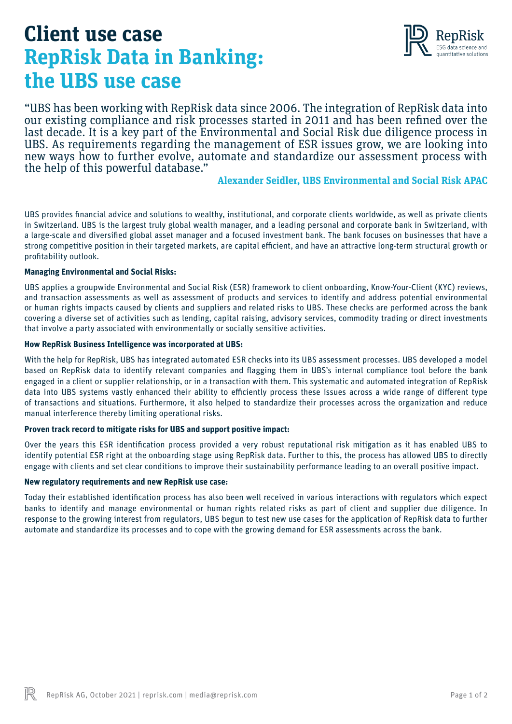# **Client use case RepRisk Data in Banking: the UBS use case**



"UBS has been working with RepRisk data since 2006. The integration of RepRisk data into our existing compliance and risk processes started in 2011 and has been refined over the last decade. It is a key part of the Environmental and Social Risk due diligence process in UBS. As requirements regarding the management of ESR issues grow, we are looking into new ways how to further evolve, automate and standardize our assessment process with the help of this powerful database."

# **Alexander Seidler, UBS Environmental and Social Risk APAC**

UBS provides financial advice and solutions to wealthy, institutional, and corporate clients worldwide, as well as private clients in Switzerland. UBS is the largest truly global wealth manager, and a leading personal and corporate bank in Switzerland, with a large-scale and diversified global asset manager and a focused investment bank. The bank focuses on businesses that have a strong competitive position in their targeted markets, are capital efficient, and have an attractive long-term structural growth or profitability outlook.

#### **Managing Environmental and Social Risks:**

UBS applies a groupwide Environmental and Social Risk (ESR) framework to client onboarding, Know-Your-Client (KYC) reviews, and transaction assessments as well as assessment of products and services to identify and address potential environmental or human rights impacts caused by clients and suppliers and related risks to UBS. These checks are performed across the bank covering a diverse set of activities such as lending, capital raising, advisory services, commodity trading or direct investments that involve a party associated with environmentally or socially sensitive activities.

#### **How RepRisk Business Intelligence was incorporated at UBS:**

With the help for RepRisk, UBS has integrated automated ESR checks into its UBS assessment processes. UBS developed a model based on RepRisk data to identify relevant companies and flagging them in UBS's internal compliance tool before the bank engaged in a client or supplier relationship, or in a transaction with them. This systematic and automated integration of RepRisk data into UBS systems vastly enhanced their ability to efficiently process these issues across a wide range of different type of transactions and situations. Furthermore, it also helped to standardize their processes across the organization and reduce manual interference thereby limiting operational risks.

## **Proven track record to mitigate risks for UBS and support positive impact:**

Over the years this ESR identification process provided a very robust reputational risk mitigation as it has enabled UBS to identify potential ESR right at the onboarding stage using RepRisk data. Further to this, the process has allowed UBS to directly engage with clients and set clear conditions to improve their sustainability performance leading to an overall positive impact.

## **New regulatory requirements and new RepRisk use case:**

Today their established identification process has also been well received in various interactions with regulators which expect banks to identify and manage environmental or human rights related risks as part of client and supplier due diligence. In response to the growing interest from regulators, UBS begun to test new use cases for the application of RepRisk data to further automate and standardize its processes and to cope with the growing demand for ESR assessments across the bank.